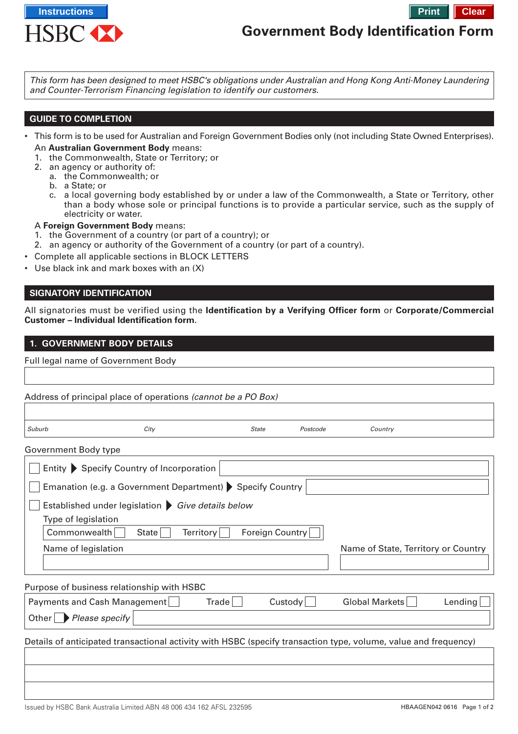

# **Government Body Identification Form**

This form has been designed to meet HSBC's obligations under Australian and Hong Kong Anti-Money Laundering and Counter-Terrorism Financing legislation to identify our customers.

# **GUIDE TO COMPLETION**

- This form is to be used for Australian and Foreign Government Bodies only (not including State Owned Enterprises). An **Australian Government Body** means:
	- 1. the Commonwealth, State or Territory; or
	- 2. an agency or authority of:
	- a. the Commonwealth; or
		- b. a State; or
		- c. a local governing body established by or under a law of the Commonwealth, a State or Territory, other than a body whose sole or principal functions is to provide a particular service, such as the supply of electricity or water.

A **Foreign Government Body** means:

- 1. the Government of a country (or part of a country); or
- 2. an agency or authority of the Government of a country (or part of a country).
- Complete all applicable sections in BLOCK LETTERS
- Use black ink and mark boxes with an (X)

# **SIGNATORY IDENTIFICATION**

All signatories must be verified using the **[Identification by a Verifying Officer form](http://www.hsbc.com.au/1/PA_ES_Content_Mgmt/content/australia/common/pdf/commercial/cmb-verifying-officer.pdf)** or **[Corporate/Commercial](http://www.hsbc.com.au/1/PA_ES_Content_Mgmt/content/australia/common/pdf/commercial/cmb-corp-id-check.pdf) [Customer – Individual Identification form](http://www.hsbc.com.au/1/PA_ES_Content_Mgmt/content/australia/common/pdf/commercial/cmb-corp-id-check.pdf)**.

## **1. GOVERNMENT BODY DETAILS**

Full legal name of Government Body

|                                                  | Address of principal place of operations (cannot be a PO Box)                                                   |              |          |         |  |  |
|--------------------------------------------------|-----------------------------------------------------------------------------------------------------------------|--------------|----------|---------|--|--|
|                                                  |                                                                                                                 |              |          |         |  |  |
| Suburb                                           | City                                                                                                            | <b>State</b> | Postcode | Country |  |  |
| Government Body type                             |                                                                                                                 |              |          |         |  |  |
|                                                  | Entity Specify Country of Incorporation                                                                         |              |          |         |  |  |
|                                                  | Emanation (e.g. a Government Department) Specify Country                                                        |              |          |         |  |  |
| Established under legislation Give details below |                                                                                                                 |              |          |         |  |  |
| Type of legislation                              |                                                                                                                 |              |          |         |  |  |
|                                                  | the contract of the contract of the contract of the contract of the contract of the contract of the contract of |              |          |         |  |  |

 $\mid$  Commonwealth  $\mid$  State  $\mid$  Territory Foreign Country  $\mid$   $\mid$ Name of legislation Name of State, Territory or Country

# Purpose of business relationship with HSBC

| Payments and Cash Management     | Trade∣ | Custodv | Global Markets | Lending |
|----------------------------------|--------|---------|----------------|---------|
| $ $ Other $ $ Please specify $ $ |        |         |                |         |

Details of anticipated transactional activity with HSBC (specify transaction type, volume, value and frequency)